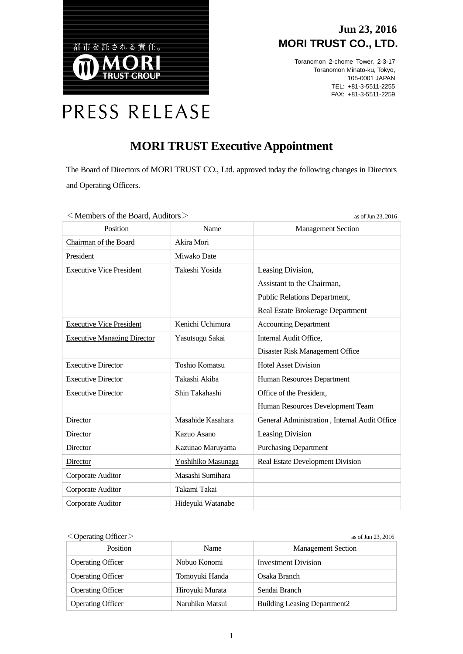

### **Jun 23, 2016 MORI TRUST CO., LTD.**

Toranomon 2-chome Tower, 2-3-17 Toranomon Minato-ku, Tokyo, 105-0001 JAPAN TEL: +81-3-5511-2255 FAX: +81-3-5511-2259

# PRESS RELEASE

## **MORI TRUST Executive Appointment**

The Board of Directors of MORI TRUST CO., Ltd. approved today the following changes in Directors and Operating Officers.

| $\sim$ Members of the Board, Auditors $\geq$<br>as of $\text{Jun } 23$ , $2016$ |                       |                                               |  |
|---------------------------------------------------------------------------------|-----------------------|-----------------------------------------------|--|
| Position                                                                        | Name                  | <b>Management Section</b>                     |  |
| Chairman of the Board                                                           | Akira Mori            |                                               |  |
| President                                                                       | Miwako Date           |                                               |  |
| <b>Executive Vice President</b>                                                 | Takeshi Yosida        | Leasing Division,                             |  |
|                                                                                 |                       | Assistant to the Chairman,                    |  |
|                                                                                 |                       | Public Relations Department,                  |  |
|                                                                                 |                       | Real Estate Brokerage Department              |  |
| <b>Executive Vice President</b>                                                 | Kenichi Uchimura      | <b>Accounting Department</b>                  |  |
| <b>Executive Managing Director</b>                                              | Yasutsugu Sakai       | Internal Audit Office,                        |  |
|                                                                                 |                       | Disaster Risk Management Office               |  |
| <b>Executive Director</b>                                                       | <b>Toshio Komatsu</b> | <b>Hotel Asset Division</b>                   |  |
| <b>Executive Director</b>                                                       | Takashi Akiba         | Human Resources Department                    |  |
| <b>Executive Director</b>                                                       | Shin Takahashi        | Office of the President,                      |  |
|                                                                                 |                       | Human Resources Development Team              |  |
| <b>Director</b>                                                                 | Masahide Kasahara     | General Administration, Internal Audit Office |  |
| <b>Director</b>                                                                 | Kazuo Asano           | Leasing Division                              |  |
| <b>Director</b>                                                                 | Kazunao Maruyama      | <b>Purchasing Department</b>                  |  |
| Director                                                                        | Yoshihiko Masunaga    | Real Estate Development Division              |  |
| Corporate Auditor                                                               | Masashi Sumihara      |                                               |  |
| Corporate Auditor                                                               | Takami Takai          |                                               |  |
| Corporate Auditor                                                               | Hideyuki Watanabe     |                                               |  |

 $\langle$  Members of the Board, Auditors  $\geq$ 

 $\leq$  Operating Officer  $>$  as of Jun 23, 2016

| Position                 | Name            | <b>Management Section</b>           |
|--------------------------|-----------------|-------------------------------------|
| <b>Operating Officer</b> | Nobuo Konomi    | Investment Division                 |
| <b>Operating Officer</b> | Tomoyuki Handa  | Osaka Branch                        |
| <b>Operating Officer</b> | Hiroyuki Murata | Sendai Branch                       |
| <b>Operating Officer</b> | Naruhiko Matsui | <b>Building Leasing Department2</b> |